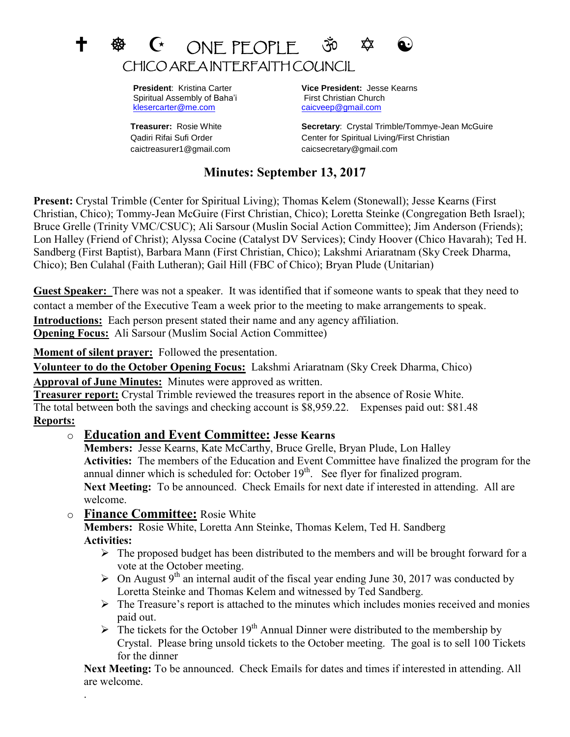# $G$  ONE PEOPLE 30  $\hat{\varphi}$ CHICO AREA INTERFAITH COUNCIL

Spiritual Assembly of Baha'i First Christian Church [klesercarter@me.com](mailto:klesercarter@me.com) [caicveep@gmail.com](mailto:caicveep@gmail.com)

caictreasurer1@gmail.com caicsecretary@gmail.com

 **President**: Kristina Carter **Vice President:** Jesse Kearns

**Treasurer:** Rosie White **Secretary**: Crystal Trimble/Tommye-Jean McGuire Qadiri Rifai Sufi Order Center for Spiritual Living/First Christian

## **Minutes: September 13, 2017**

**Present:** Crystal Trimble (Center for Spiritual Living); Thomas Kelem (Stonewall); Jesse Kearns (First Christian, Chico); Tommy-Jean McGuire (First Christian, Chico); Loretta Steinke (Congregation Beth Israel); Bruce Grelle (Trinity VMC/CSUC); Ali Sarsour (Muslin Social Action Committee); Jim Anderson (Friends); Lon Halley (Friend of Christ); Alyssa Cocine (Catalyst DV Services); Cindy Hoover (Chico Havarah); Ted H. Sandberg (First Baptist), Barbara Mann (First Christian, Chico); Lakshmi Ariaratnam (Sky Creek Dharma, Chico); Ben Culahal (Faith Lutheran); Gail Hill (FBC of Chico); Bryan Plude (Unitarian)

**Guest Speaker:** There was not a speaker. It was identified that if someone wants to speak that they need to contact a member of the Executive Team a week prior to the meeting to make arrangements to speak. **Introductions:** Each person present stated their name and any agency affiliation. **Opening Focus:** Ali Sarsour (Muslim Social Action Committee)

**Moment of silent prayer:** Followed the presentation.

**Volunteer to do the October Opening Focus:** Lakshmi Ariaratnam (Sky Creek Dharma, Chico)

**Approval of June Minutes:** Minutes were approved as written.

**Treasurer report:** Crystal Trimble reviewed the treasures report in the absence of Rosie White. The total between both the savings and checking account is \$8,959.22. Expenses paid out: \$81.48 **Reports:** 

## o **Education and Event Committee: Jesse Kearns**

**Members:** Jesse Kearns, Kate McCarthy, Bruce Grelle, Bryan Plude, Lon Halley **Activities:** The members of the Education and Event Committee have finalized the program for the annual dinner which is scheduled for: October  $19<sup>th</sup>$ . See flyer for finalized program. **Next Meeting:** To be announced. Check Emails for next date if interested in attending. All are welcome.

o **Finance Committee:** Rosie White

.

**Members:** Rosie White, Loretta Ann Steinke, Thomas Kelem, Ted H. Sandberg **Activities:** 

- $\triangleright$  The proposed budget has been distributed to the members and will be brought forward for a vote at the October meeting.
- $\triangleright$  On August 9<sup>th</sup> an internal audit of the fiscal year ending June 30, 2017 was conducted by Loretta Steinke and Thomas Kelem and witnessed by Ted Sandberg.
- $\triangleright$  The Treasure's report is attached to the minutes which includes monies received and monies paid out.
- $\triangleright$  The tickets for the October 19<sup>th</sup> Annual Dinner were distributed to the membership by Crystal. Please bring unsold tickets to the October meeting. The goal is to sell 100 Tickets for the dinner

**Next Meeting:** To be announced. Check Emails for dates and times if interested in attending. All are welcome.